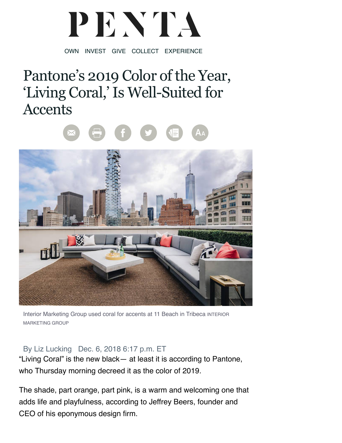## PENTA

OWN INVEST GIVE COLLECT EXPERIENCE

## Pantone's 2019 Color of the Year, 'Living Coral,' Is Well-Suited for **Accents**



Interior Marketing Group used coral for accents at 11 Beach in Tribeca INTERIOR MARKETING GROUP

## By Liz Lucking Dec. 6, 2018 6:17 p.m. ET

"Living Coral" is the new black— at least it is according to Pantone, who Thursday morning decreed it as the color of 2019.

The shade, part orange, part pink, is a warm and welcoming one that adds life and playfulness, according to Jeffrey Beers, founder and CEO of his eponymous design firm.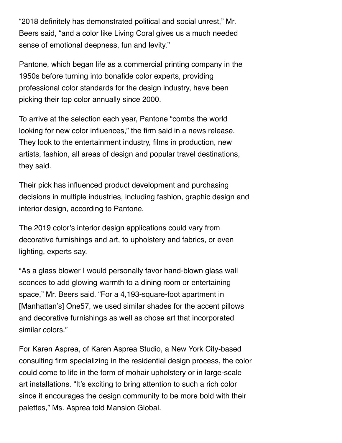"2018 definitely has demonstrated political and social unrest," Mr. Beers said, "and a color like Living Coral gives us a much needed sense of emotional deepness, fun and levity."

Pantone, which began life as a commercial printing company in the 1950s before turning into bonafide color experts, providing professional color standards for the design industry, have been picking their top color annually since 2000.

To arrive at the selection each year, Pantone "combs the world looking for new color influences," the firm said in a news release. They look to the entertainment industry, films in production, new artists, fashion, all areas of design and popular travel destinations, they said.

Their pick has influenced product development and purchasing decisions in multiple industries, including fashion, graphic design and interior design, according to Pantone.

The 2019 color's interior design applications could vary from decorative furnishings and art, to upholstery and fabrics, or even lighting, experts say.

"As a glass blower I would personally favor hand-blown glass wall sconces to add glowing warmth to a dining room or entertaining space," Mr. Beers said. "For a 4,193-square-foot apartment in [Manhattan's] One57, we used similar shades for the accent pillows and decorative furnishings as well as chose art that incorporated similar colors."

For Karen Asprea, of Karen Asprea Studio, a New York City-based consulting firm specializing in the residential design process, the color could come to life in the form of mohair upholstery or in large-scale art installations. "It's exciting to bring attention to such a rich color since it encourages the design community to be more bold with their palettes," Ms. Asprea told Mansion Global.